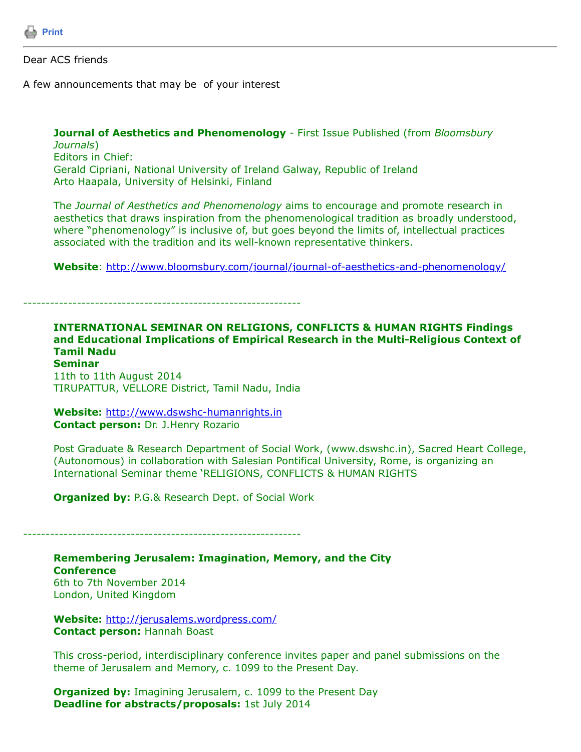

Dear ACS friends

A few announcements that may be of your interest

**Journal of Aesthetics and Phenomenology** - First Issue Published (from *Bloomsbury Journals*) Editors in Chief: Gerald Cipriani, National University of Ireland Galway, Republic of Ireland Arto Haapala, University of Helsinki, Finland

Th*e Journal of Aesthetics and Phenomenology* aims to encourage and promote research in aesthetics that draws inspiration from the phenomenological tradition as broadly understood, where "phenomenology" is inclusive of, but goes beyond the limits of, intellectual practices associated with the tradition and its well-known representative thinkers.

**Website**:<http://www.bloomsbury.com/journal/journal-of-aesthetics-and-phenomenology/>

--------------------------------------------------------------

**INTERNATIONAL SEMINAR ON RELIGIONS, CONFLICTS & HUMAN RIGHTS Findings and Educational Implications of Empirical Research in the Multi-Religious Context of Tamil Nadu Seminar**

11th to 11th August 2014 TIRUPATTUR, VELLORE District, Tamil Nadu, India

**Website:** [http://www.dswshc-humanrights.in](http://www.dswshc-humanrights.in/) **Contact person:** Dr. J.Henry Rozario

Post Graduate & Research Department of Social Work, (www.dswshc.in), Sacred Heart College, (Autonomous) in collaboration with Salesian Pontifical University, Rome, is organizing an International Seminar theme 'RELIGIONS, CONFLICTS & HUMAN RIGHTS

**Organized by: P.G.& Research Dept. of Social Work** 

--------------------------------------------------------------

**Remembering Jerusalem: Imagination, Memory, and the City Conference** 6th to 7th November 2014 London, United Kingdom

**Website:** <http://jerusalems.wordpress.com/> **Contact person:** Hannah Boast

This cross-period, interdisciplinary conference invites paper and panel submissions on the theme of Jerusalem and Memory, c. 1099 to the Present Day.

**Organized by:** Imagining Jerusalem, c. 1099 to the Present Day **Deadline for abstracts/proposals:** 1st July 2014